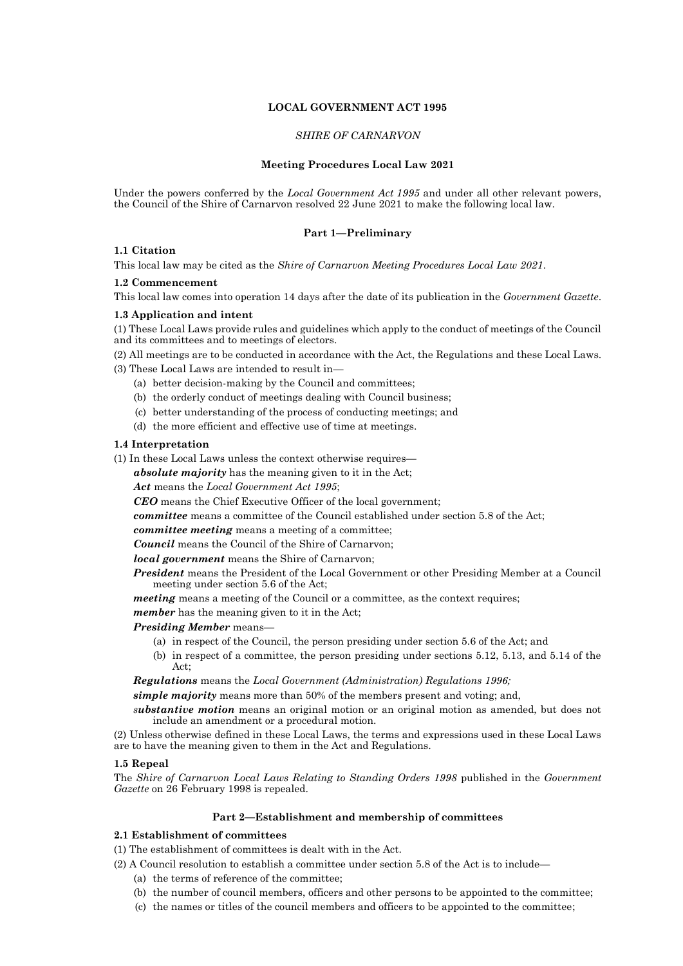# **LOCAL GOVERNMENT ACT 1995**

# *SHIRE OF CARNARVON*

#### **Meeting Procedures Local Law 2021**

Under the powers conferred by the *Local Government Act 1995* and under all other relevant powers, the Council of the Shire of Carnarvon resolved 22 June 2021 to make the following local law.

#### **Part 1—Preliminary**

## **1.1 Citation**

This local law may be cited as the *Shire of Carnarvon Meeting Procedures Local Law 2021*.

#### **1.2 Commencement**

This local law comes into operation 14 days after the date of its publication in the *Government Gazette*.

#### **1.3 Application and intent**

(1) These Local Laws provide rules and guidelines which apply to the conduct of meetings of the Council and its committees and to meetings of electors.

(2) All meetings are to be conducted in accordance with the Act, the Regulations and these Local Laws. (3) These Local Laws are intended to result in—

- (a) better decision-making by the Council and committees;
- (b) the orderly conduct of meetings dealing with Council business;
- (c) better understanding of the process of conducting meetings; and
- (d) the more efficient and effective use of time at meetings.

## **1.4 Interpretation**

(1) In these Local Laws unless the context otherwise requires—

*absolute majority* has the meaning given to it in the Act;

*Act* means the *Local Government Act 1995*;

*CEO* means the Chief Executive Officer of the local government;

*committee* means a committee of the Council established under section 5.8 of the Act;

*committee meeting* means a meeting of a committee;

*Council* means the Council of the Shire of Carnarvon;

*local government* means the Shire of Carnarvon;

*President* means the President of the Local Government or other Presiding Member at a Council meeting under section 5.6 of the Act;

*meeting* means a meeting of the Council or a committee, as the context requires;

*member* has the meaning given to it in the Act;

#### *Presiding Member* means—

- (a) in respect of the Council, the person presiding under section 5.6 of the Act; and
- (b) in respect of a committee, the person presiding under sections 5.12, 5.13, and 5.14 of the Act;

*Regulations* means the *Local Government (Administration) Regulations 1996;*

*simple majority* means more than 50% of the members present and voting; and,

*substantive motion* means an original motion or an original motion as amended, but does not include an amendment or a procedural motion.

(2) Unless otherwise defined in these Local Laws, the terms and expressions used in these Local Laws are to have the meaning given to them in the Act and Regulations.

#### **1.5 Repeal**

The *Shire of Carnarvon Local Laws Relating to Standing Orders 1998* published in the *Government Gazette* on 26 February 1998 is repealed.

#### **Part 2—Establishment and membership of committees**

# **2.1 Establishment of committees**

(1) The establishment of committees is dealt with in the Act.

- (2) A Council resolution to establish a committee under section 5.8 of the Act is to include—
	- (a) the terms of reference of the committee;
	- (b) the number of council members, officers and other persons to be appointed to the committee;
	- (c) the names or titles of the council members and officers to be appointed to the committee;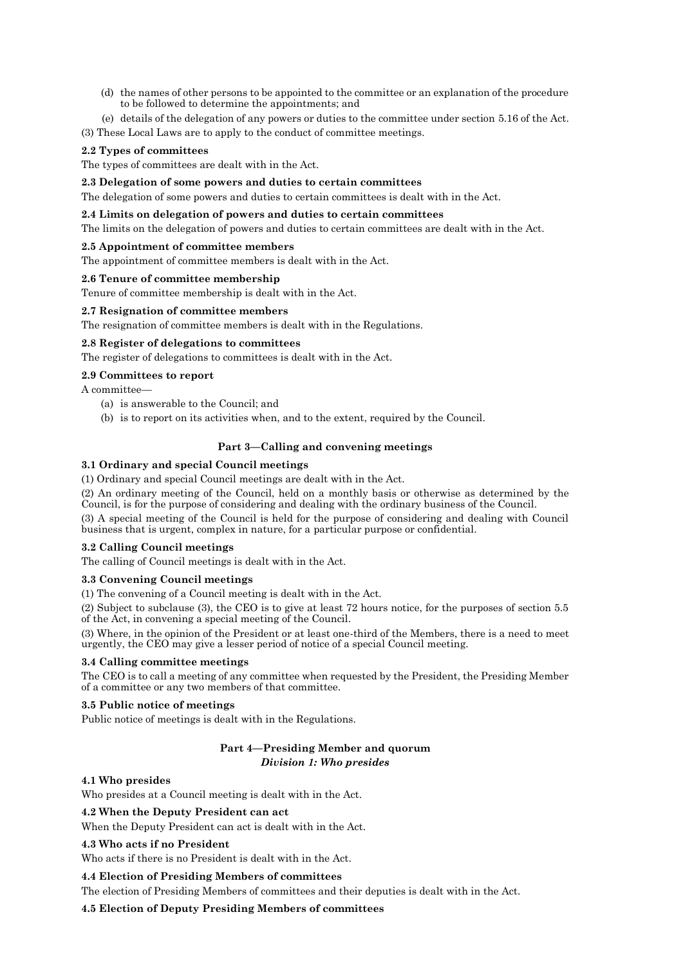(d) the names of other persons to be appointed to the committee or an explanation of the procedure to be followed to determine the appointments; and

(e) details of the delegation of any powers or duties to the committee under section 5.16 of the Act.

(3) These Local Laws are to apply to the conduct of committee meetings.

# **2.2 Types of committees**

The types of committees are dealt with in the Act.

# **2.3 Delegation of some powers and duties to certain committees**

The delegation of some powers and duties to certain committees is dealt with in the Act.

## **2.4 Limits on delegation of powers and duties to certain committees**

The limits on the delegation of powers and duties to certain committees are dealt with in the Act.

# **2.5 Appointment of committee members**

The appointment of committee members is dealt with in the Act.

# **2.6 Tenure of committee membership**

Tenure of committee membership is dealt with in the Act.

# **2.7 Resignation of committee members**

The resignation of committee members is dealt with in the Regulations.

# **2.8 Register of delegations to committees**

The register of delegations to committees is dealt with in the Act.

# **2.9 Committees to report**

A committee—

- (a) is answerable to the Council; and
- (b) is to report on its activities when, and to the extent, required by the Council.

# **Part 3—Calling and convening meetings**

# **3.1 Ordinary and special Council meetings**

(1) Ordinary and special Council meetings are dealt with in the Act.

(2) An ordinary meeting of the Council, held on a monthly basis or otherwise as determined by the Council, is for the purpose of considering and dealing with the ordinary business of the Council.

(3) A special meeting of the Council is held for the purpose of considering and dealing with Council business that is urgent, complex in nature, for a particular purpose or confidential.

## **3.2 Calling Council meetings**

The calling of Council meetings is dealt with in the Act.

## **3.3 Convening Council meetings**

(1) The convening of a Council meeting is dealt with in the Act.

(2) Subject to subclause (3), the CEO is to give at least 72 hours notice, for the purposes of section 5.5 of the Act, in convening a special meeting of the Council.

(3) Where, in the opinion of the President or at least one-third of the Members, there is a need to meet urgently, the CEO may give a lesser period of notice of a special Council meeting.

## **3.4 Calling committee meetings**

The CEO is to call a meeting of any committee when requested by the President, the Presiding Member of a committee or any two members of that committee.

## **3.5 Public notice of meetings**

Public notice of meetings is dealt with in the Regulations.

# **Part 4—Presiding Member and quorum** *Division 1: Who presides*

## **4.1 Who presides**

Who presides at a Council meeting is dealt with in the Act.

# **4.2 When the Deputy President can act**

When the Deputy President can act is dealt with in the Act.

## **4.3 Who acts if no President**

Who acts if there is no President is dealt with in the Act.

## **4.4 Election of Presiding Members of committees**

The election of Presiding Members of committees and their deputies is dealt with in the Act.

# **4.5 Election of Deputy Presiding Members of committees**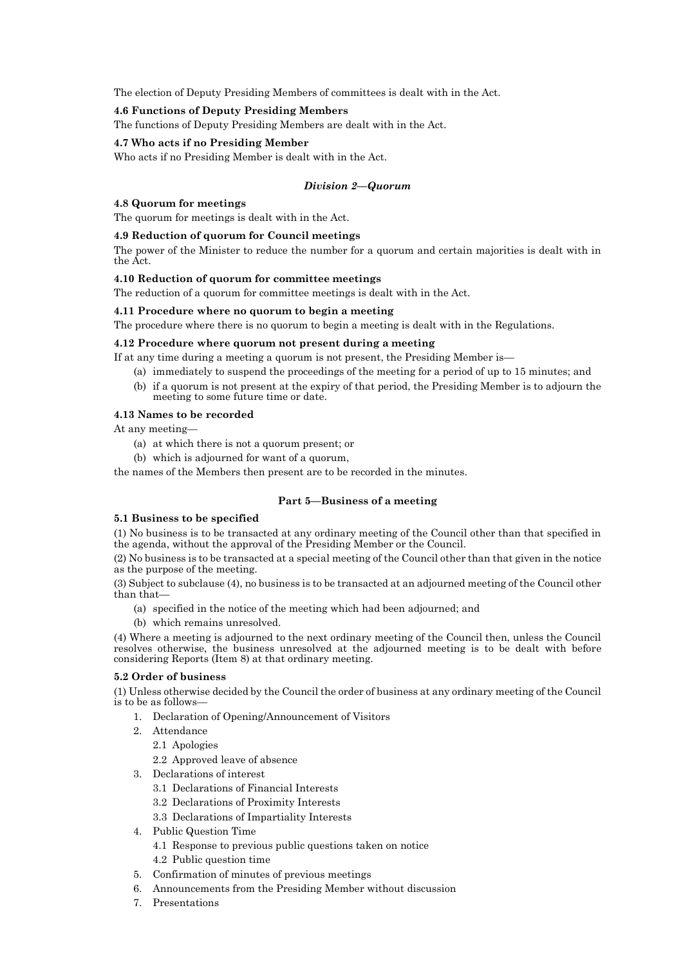The election of Deputy Presiding Members of committees is dealt with in the Act.

## **4.6 Functions of Deputy Presiding Members**

The functions of Deputy Presiding Members are dealt with in the Act.

## **4.7 Who acts if no Presiding Member**

Who acts if no Presiding Member is dealt with in the Act.

# *Division 2—Quorum*

#### **4.8 Quorum for meetings**

The quorum for meetings is dealt with in the Act.

#### **4.9 Reduction of quorum for Council meetings**

The power of the Minister to reduce the number for a quorum and certain majorities is dealt with in the Act.

#### **4.10 Reduction of quorum for committee meetings**

The reduction of a quorum for committee meetings is dealt with in the Act.

#### **4.11 Procedure where no quorum to begin a meeting**

The procedure where there is no quorum to begin a meeting is dealt with in the Regulations.

#### **4.12 Procedure where quorum not present during a meeting**

If at any time during a meeting a quorum is not present, the Presiding Member is—

- (a) immediately to suspend the proceedings of the meeting for a period of up to 15 minutes; and
- (b) if a quorum is not present at the expiry of that period, the Presiding Member is to adjourn the meeting to some future time or date.

#### **4.13 Names to be recorded**

At any meeting—

- (a) at which there is not a quorum present; or
- (b) which is adjourned for want of a quorum,

the names of the Members then present are to be recorded in the minutes.

## **Part 5—Business of a meeting**

## **5.1 Business to be specified**

(1) No business is to be transacted at any ordinary meeting of the Council other than that specified in the agenda, without the approval of the Presiding Member or the Council.

(2) No business is to be transacted at a special meeting of the Council other than that given in the notice as the purpose of the meeting.

(3) Subject to subclause (4), no business is to be transacted at an adjourned meeting of the Council other than that—

- (a) specified in the notice of the meeting which had been adjourned; and
- (b) which remains unresolved.

(4) Where a meeting is adjourned to the next ordinary meeting of the Council then, unless the Council resolves otherwise, the business unresolved at the adjourned meeting is to be dealt with before considering Reports (Item 8) at that ordinary meeting.

## **5.2 Order of business**

(1) Unless otherwise decided by the Council the order of business at any ordinary meeting of the Council is to be as follows—

- 1. Declaration of Opening/Announcement of Visitors
- 2. Attendance
	- 2.1 Apologies
	- 2.2 Approved leave of absence
- 3. Declarations of interest
	- 3.1 Declarations of Financial Interests
	- 3.2 Declarations of Proximity Interests
	- 3.3 Declarations of Impartiality Interests
- 4. Public Question Time
	- 4.1 Response to previous public questions taken on notice
	- 4.2 Public question time
- 5. Confirmation of minutes of previous meetings
- 6. Announcements from the Presiding Member without discussion
- 7. Presentations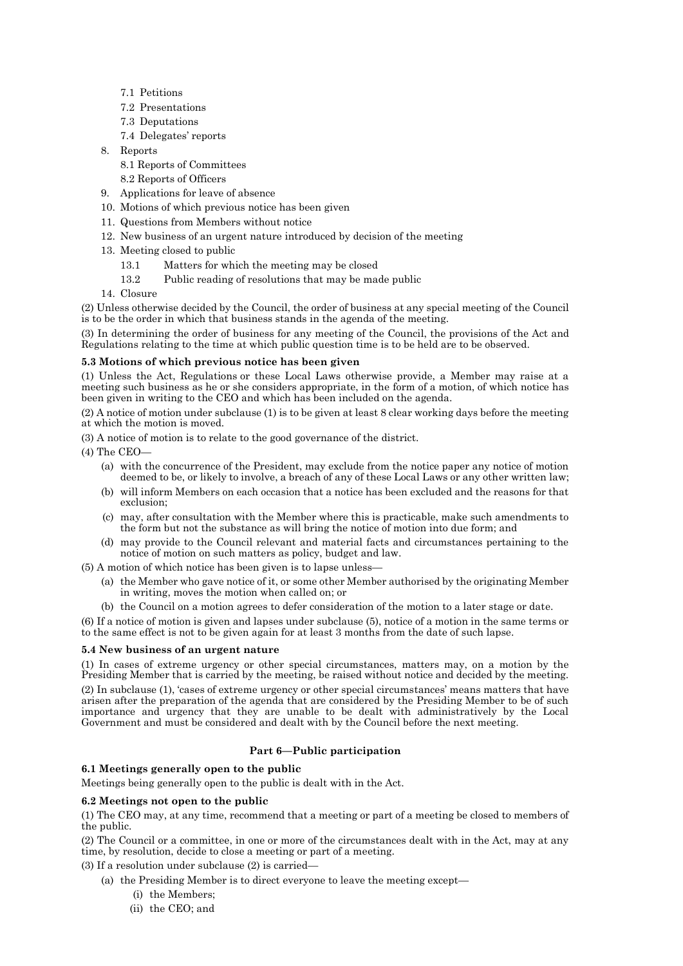- 7.1 Petitions
- 7.2 Presentations
- 7.3 Deputations
- 7.4 Delegates' reports
- 8. Reports
	- 8.1 Reports of Committees
	- 8.2 Reports of Officers
- 9. Applications for leave of absence
- 10. Motions of which previous notice has been given
- 11. Questions from Members without notice
- 12. New business of an urgent nature introduced by decision of the meeting
- 13. Meeting closed to public
	- 13.1 Matters for which the meeting may be closed
	- 13.2 Public reading of resolutions that may be made public
- 14. Closure

(2) Unless otherwise decided by the Council, the order of business at any special meeting of the Council is to be the order in which that business stands in the agenda of the meeting.

(3) In determining the order of business for any meeting of the Council, the provisions of the Act and Regulations relating to the time at which public question time is to be held are to be observed.

## **5.3 Motions of which previous notice has been given**

(1) Unless the Act, Regulations or these Local Laws otherwise provide, a Member may raise at a meeting such business as he or she considers appropriate, in the form of a motion, of which notice has been given in writing to the CEO and which has been included on the agenda.

(2) A notice of motion under subclause (1) is to be given at least 8 clear working days before the meeting at which the motion is moved.

(3) A notice of motion is to relate to the good governance of the district.

(4) The CEO—

- (a) with the concurrence of the President, may exclude from the notice paper any notice of motion deemed to be, or likely to involve, a breach of any of these Local Laws or any other written law;
- (b) will inform Members on each occasion that a notice has been excluded and the reasons for that exclusion;
- (c) may, after consultation with the Member where this is practicable, make such amendments to the form but not the substance as will bring the notice of motion into due form; and
- (d) may provide to the Council relevant and material facts and circumstances pertaining to the notice of motion on such matters as policy, budget and law.

(5) A motion of which notice has been given is to lapse unless—

- (a) the Member who gave notice of it, or some other Member authorised by the originating Member in writing, moves the motion when called on; or
- (b) the Council on a motion agrees to defer consideration of the motion to a later stage or date.

(6) If a notice of motion is given and lapses under subclause (5), notice of a motion in the same terms or to the same effect is not to be given again for at least 3 months from the date of such lapse.

## **5.4 New business of an urgent nature**

(1) In cases of extreme urgency or other special circumstances, matters may, on a motion by the Presiding Member that is carried by the meeting, be raised without notice and decided by the meeting. (2) In subclause (1), 'cases of extreme urgency or other special circumstances' means matters that have arisen after the preparation of the agenda that are considered by the Presiding Member to be of such importance and urgency that they are unable to be dealt with administratively by the Local Government and must be considered and dealt with by the Council before the next meeting.

## **Part 6—Public participation**

## **6.1 Meetings generally open to the public**

Meetings being generally open to the public is dealt with in the Act.

## **6.2 Meetings not open to the public**

(1) The CEO may, at any time, recommend that a meeting or part of a meeting be closed to members of the public.

(2) The Council or a committee, in one or more of the circumstances dealt with in the Act, may at any time, by resolution, decide to close a meeting or part of a meeting.

- (3) If a resolution under subclause (2) is carried—
	- (a) the Presiding Member is to direct everyone to leave the meeting except—
		- (i) the Members;
		- (ii) the CEO; and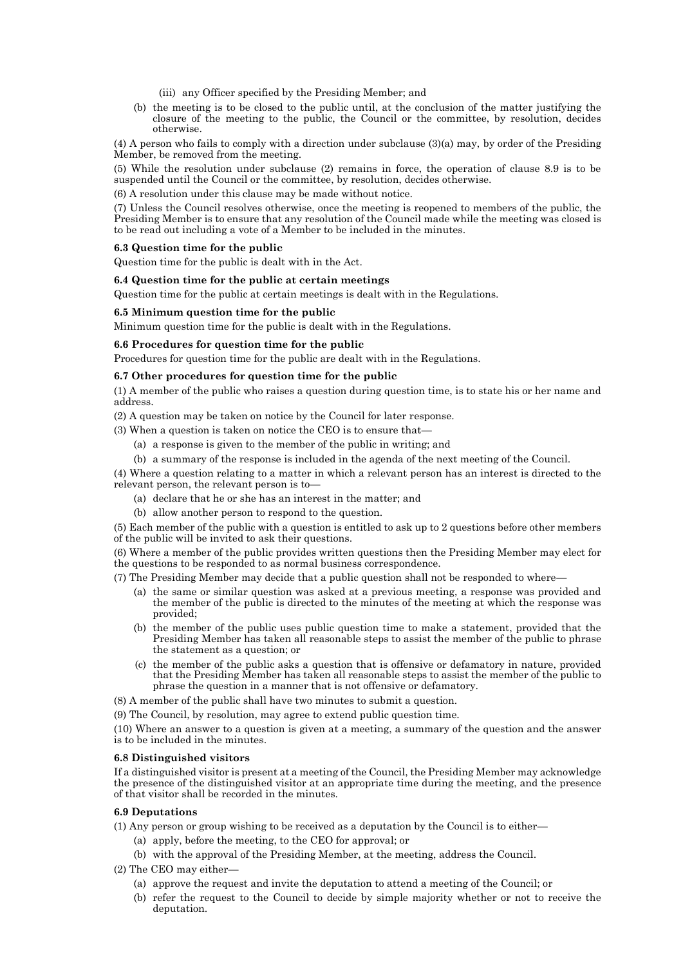- (iii) any Officer specified by the Presiding Member; and
- (b) the meeting is to be closed to the public until, at the conclusion of the matter justifying the closure of the meeting to the public, the Council or the committee, by resolution, decides otherwise.

(4) A person who fails to comply with a direction under subclause (3)(a) may, by order of the Presiding Member, be removed from the meeting.

(5) While the resolution under subclause (2) remains in force, the operation of clause 8.9 is to be suspended until the Council or the committee, by resolution, decides otherwise.

(6) A resolution under this clause may be made without notice.

(7) Unless the Council resolves otherwise, once the meeting is reopened to members of the public, the Presiding Member is to ensure that any resolution of the Council made while the meeting was closed is to be read out including a vote of a Member to be included in the minutes.

## **6.3 Question time for the public**

Question time for the public is dealt with in the Act.

## **6.4 Question time for the public at certain meetings**

Question time for the public at certain meetings is dealt with in the Regulations.

## **6.5 Minimum question time for the public**

Minimum question time for the public is dealt with in the Regulations.

## **6.6 Procedures for question time for the public**

Procedures for question time for the public are dealt with in the Regulations.

#### **6.7 Other procedures for question time for the public**

(1) A member of the public who raises a question during question time, is to state his or her name and address.

(2) A question may be taken on notice by the Council for later response.

(3) When a question is taken on notice the CEO is to ensure that—

- (a) a response is given to the member of the public in writing; and
- (b) a summary of the response is included in the agenda of the next meeting of the Council.

(4) Where a question relating to a matter in which a relevant person has an interest is directed to the relevant person, the relevant person is to—

- (a) declare that he or she has an interest in the matter; and
- (b) allow another person to respond to the question.

(5) Each member of the public with a question is entitled to ask up to 2 questions before other members of the public will be invited to ask their questions.

(6) Where a member of the public provides written questions then the Presiding Member may elect for the questions to be responded to as normal business correspondence.

(7) The Presiding Member may decide that a public question shall not be responded to where—

- (a) the same or similar question was asked at a previous meeting, a response was provided and the member of the public is directed to the minutes of the meeting at which the response was provided;
- (b) the member of the public uses public question time to make a statement, provided that the Presiding Member has taken all reasonable steps to assist the member of the public to phrase the statement as a question; or
- (c) the member of the public asks a question that is offensive or defamatory in nature, provided that the Presiding Member has taken all reasonable steps to assist the member of the public to phrase the question in a manner that is not offensive or defamatory.
- (8) A member of the public shall have two minutes to submit a question.

(9) The Council, by resolution, may agree to extend public question time.

(10) Where an answer to a question is given at a meeting, a summary of the question and the answer is to be included in the minutes.

## **6.8 Distinguished visitors**

If a distinguished visitor is present at a meeting of the Council, the Presiding Member may acknowledge the presence of the distinguished visitor at an appropriate time during the meeting, and the presence of that visitor shall be recorded in the minutes.

## **6.9 Deputations**

- (1) Any person or group wishing to be received as a deputation by the Council is to either—
	- (a) apply, before the meeting, to the CEO for approval; or
	- (b) with the approval of the Presiding Member, at the meeting, address the Council.
- (2) The CEO may either—
	- (a) approve the request and invite the deputation to attend a meeting of the Council; or
	- (b) refer the request to the Council to decide by simple majority whether or not to receive the deputation.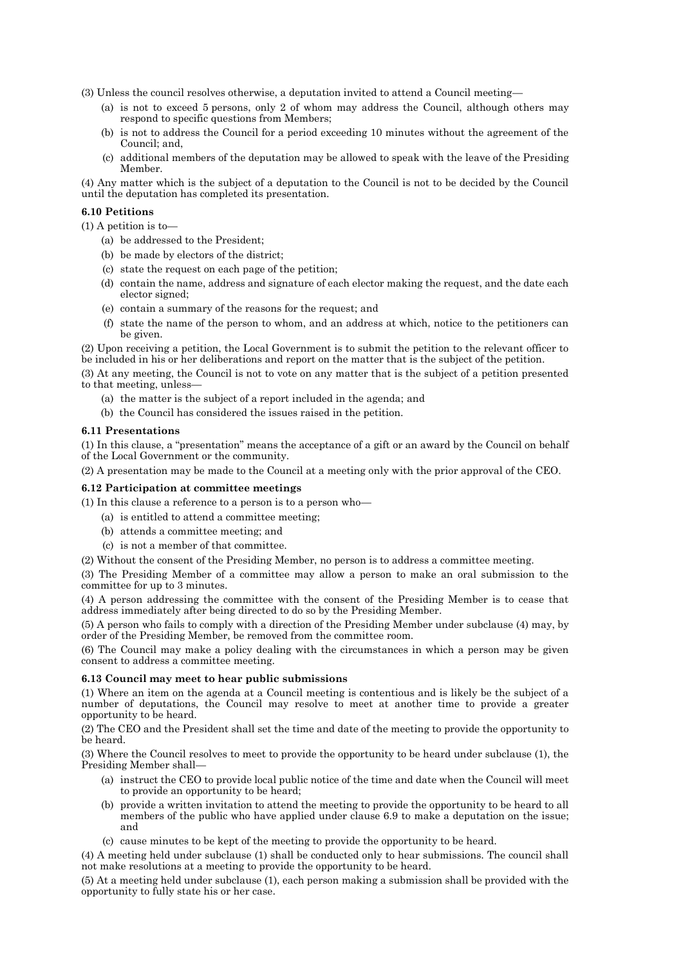(3) Unless the council resolves otherwise, a deputation invited to attend a Council meeting—

- (a) is not to exceed 5 persons, only 2 of whom may address the Council, although others may respond to specific questions from Members;
- (b) is not to address the Council for a period exceeding 10 minutes without the agreement of the Council; and,
- (c) additional members of the deputation may be allowed to speak with the leave of the Presiding Member.

(4) Any matter which is the subject of a deputation to the Council is not to be decided by the Council until the deputation has completed its presentation.

## **6.10 Petitions**

(1) A petition is to—

- (a) be addressed to the President;
- (b) be made by electors of the district;
- (c) state the request on each page of the petition;
- (d) contain the name, address and signature of each elector making the request, and the date each elector signed;
- (e) contain a summary of the reasons for the request; and
- (f) state the name of the person to whom, and an address at which, notice to the petitioners can be given.

(2) Upon receiving a petition, the Local Government is to submit the petition to the relevant officer to be included in his or her deliberations and report on the matter that is the subject of the petition.

(3) At any meeting, the Council is not to vote on any matter that is the subject of a petition presented to that meeting, unless—

- (a) the matter is the subject of a report included in the agenda; and
- (b) the Council has considered the issues raised in the petition.

#### **6.11 Presentations**

(1) In this clause, a "presentation" means the acceptance of a gift or an award by the Council on behalf of the Local Government or the community.

(2) A presentation may be made to the Council at a meeting only with the prior approval of the CEO.

#### **6.12 Participation at committee meetings**

(1) In this clause a reference to a person is to a person who—

- (a) is entitled to attend a committee meeting;
- (b) attends a committee meeting; and
- (c) is not a member of that committee.

(2) Without the consent of the Presiding Member, no person is to address a committee meeting.

(3) The Presiding Member of a committee may allow a person to make an oral submission to the committee for up to 3 minutes.

(4) A person addressing the committee with the consent of the Presiding Member is to cease that address immediately after being directed to do so by the Presiding Member.

(5) A person who fails to comply with a direction of the Presiding Member under subclause (4) may, by order of the Presiding Member, be removed from the committee room.

(6) The Council may make a policy dealing with the circumstances in which a person may be given consent to address a committee meeting.

#### **6.13 Council may meet to hear public submissions**

(1) Where an item on the agenda at a Council meeting is contentious and is likely be the subject of a number of deputations, the Council may resolve to meet at another time to provide a greater opportunity to be heard.

(2) The CEO and the President shall set the time and date of the meeting to provide the opportunity to be heard.

(3) Where the Council resolves to meet to provide the opportunity to be heard under subclause (1), the Presiding Member shall—

- (a) instruct the CEO to provide local public notice of the time and date when the Council will meet to provide an opportunity to be heard;
- (b) provide a written invitation to attend the meeting to provide the opportunity to be heard to all members of the public who have applied under clause 6.9 to make a deputation on the issue; and
- (c) cause minutes to be kept of the meeting to provide the opportunity to be heard.

(4) A meeting held under subclause (1) shall be conducted only to hear submissions. The council shall not make resolutions at a meeting to provide the opportunity to be heard.

(5) At a meeting held under subclause (1), each person making a submission shall be provided with the opportunity to fully state his or her case.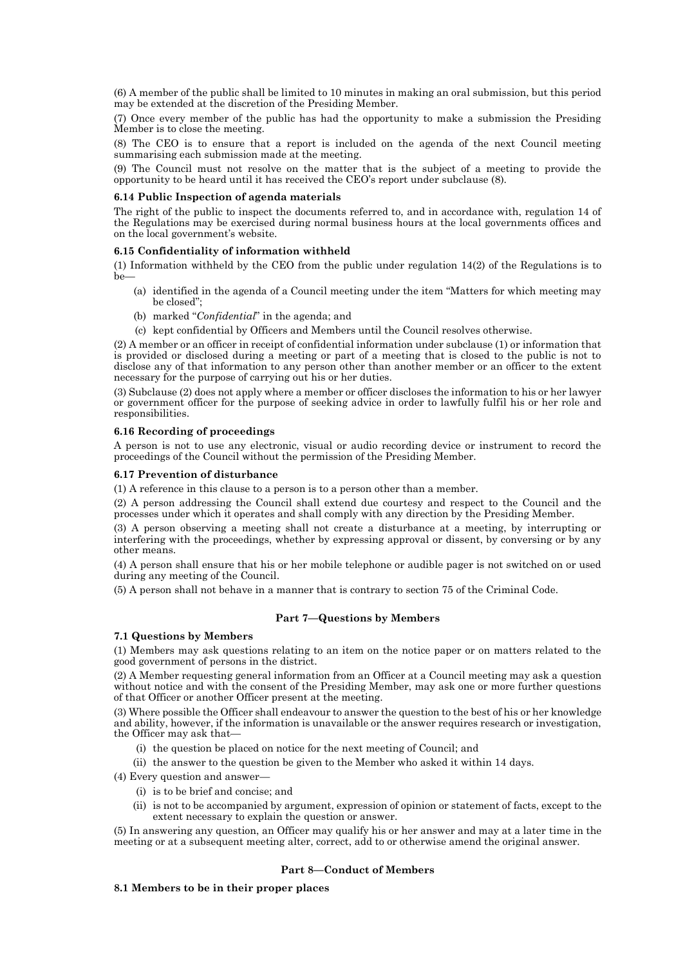(6) A member of the public shall be limited to 10 minutes in making an oral submission, but this period may be extended at the discretion of the Presiding Member.

(7) Once every member of the public has had the opportunity to make a submission the Presiding Member is to close the meeting.

(8) The CEO is to ensure that a report is included on the agenda of the next Council meeting summarising each submission made at the meeting.

(9) The Council must not resolve on the matter that is the subject of a meeting to provide the opportunity to be heard until it has received the CEO's report under subclause (8).

#### **6.14 Public Inspection of agenda materials**

The right of the public to inspect the documents referred to, and in accordance with, regulation 14 of the Regulations may be exercised during normal business hours at the local governments offices and on the local government's website.

## **6.15 Confidentiality of information withheld**

(1) Information withheld by the CEO from the public under regulation 14(2) of the Regulations is to be—

- (a) identified in the agenda of a Council meeting under the item "Matters for which meeting may be closed";
- (b) marked "*Confidential*" in the agenda; and
- (c) kept confidential by Officers and Members until the Council resolves otherwise.

(2) A member or an officer in receipt of confidential information under subclause (1) or information that is provided or disclosed during a meeting or part of a meeting that is closed to the public is not to disclose any of that information to any person other than another member or an officer to the extent necessary for the purpose of carrying out his or her duties.

(3) Subclause (2) does not apply where a member or officer discloses the information to his or her lawyer or government officer for the purpose of seeking advice in order to lawfully fulfil his or her role and responsibilities.

## **6.16 Recording of proceedings**

A person is not to use any electronic, visual or audio recording device or instrument to record the proceedings of the Council without the permission of the Presiding Member.

## **6.17 Prevention of disturbance**

(1) A reference in this clause to a person is to a person other than a member.

(2) A person addressing the Council shall extend due courtesy and respect to the Council and the processes under which it operates and shall comply with any direction by the Presiding Member.

(3) A person observing a meeting shall not create a disturbance at a meeting, by interrupting or interfering with the proceedings, whether by expressing approval or dissent, by conversing or by any other means.

(4) A person shall ensure that his or her mobile telephone or audible pager is not switched on or used during any meeting of the Council.

(5) A person shall not behave in a manner that is contrary to section 75 of the Criminal Code.

# **Part 7—Questions by Members**

## **7.1 Questions by Members**

(1) Members may ask questions relating to an item on the notice paper or on matters related to the good government of persons in the district.

(2) A Member requesting general information from an Officer at a Council meeting may ask a question without notice and with the consent of the Presiding Member, may ask one or more further questions of that Officer or another Officer present at the meeting.

(3) Where possible the Officer shall endeavour to answer the question to the best of his or her knowledge and ability, however, if the information is unavailable or the answer requires research or investigation, the Officer may ask that-

(i) the question be placed on notice for the next meeting of Council; and

(ii) the answer to the question be given to the Member who asked it within 14 days.

- (4) Every question and answer—
	- (i) is to be brief and concise; and
	- (ii) is not to be accompanied by argument, expression of opinion or statement of facts, except to the extent necessary to explain the question or answer.

(5) In answering any question, an Officer may qualify his or her answer and may at a later time in the meeting or at a subsequent meeting alter, correct, add to or otherwise amend the original answer.

## **Part 8—Conduct of Members**

# **8.1 Members to be in their proper places**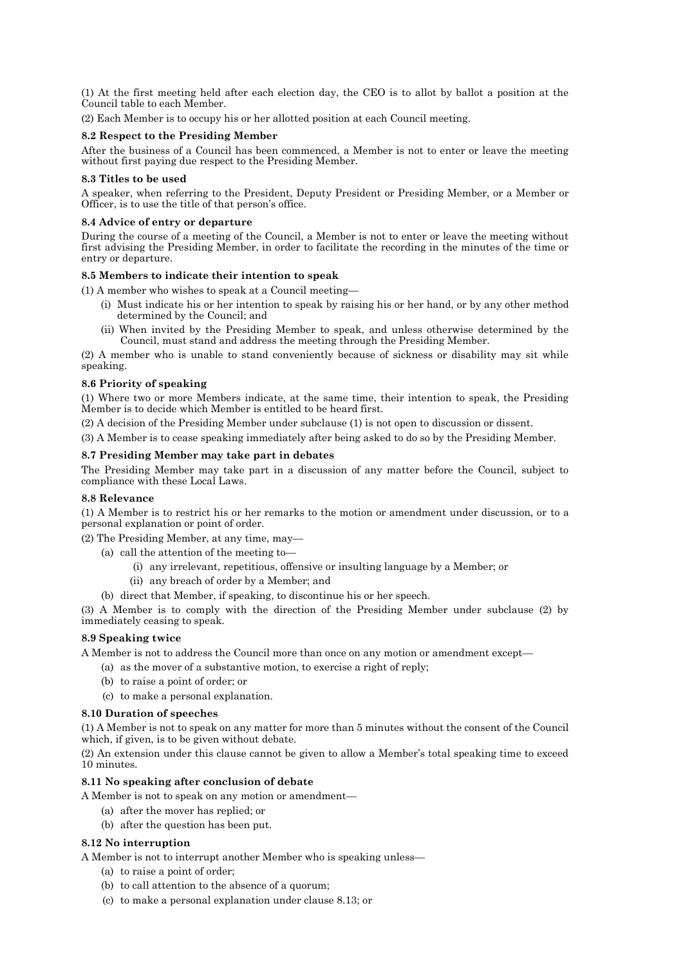(1) At the first meeting held after each election day, the CEO is to allot by ballot a position at the Council table to each Member.

(2) Each Member is to occupy his or her allotted position at each Council meeting.

# **8.2 Respect to the Presiding Member**

After the business of a Council has been commenced, a Member is not to enter or leave the meeting without first paying due respect to the Presiding Member.

## **8.3 Titles to be used**

A speaker, when referring to the President, Deputy President or Presiding Member, or a Member or Officer, is to use the title of that person's office.

# **8.4 Advice of entry or departure**

During the course of a meeting of the Council, a Member is not to enter or leave the meeting without first advising the Presiding Member, in order to facilitate the recording in the minutes of the time or entry or departure.

# **8.5 Members to indicate their intention to speak**

(1) A member who wishes to speak at a Council meeting—

- (i) Must indicate his or her intention to speak by raising his or her hand, or by any other method determined by the Council; and
- (ii) When invited by the Presiding Member to speak, and unless otherwise determined by the Council, must stand and address the meeting through the Presiding Member.

(2) A member who is unable to stand conveniently because of sickness or disability may sit while speaking.

# **8.6 Priority of speaking**

(1) Where two or more Members indicate, at the same time, their intention to speak, the Presiding Member is to decide which Member is entitled to be heard first.

(2) A decision of the Presiding Member under subclause (1) is not open to discussion or dissent.

(3) A Member is to cease speaking immediately after being asked to do so by the Presiding Member.

# **8.7 Presiding Member may take part in debates**

The Presiding Member may take part in a discussion of any matter before the Council, subject to compliance with these Local Laws.

## **8.8 Relevance**

(1) A Member is to restrict his or her remarks to the motion or amendment under discussion, or to a personal explanation or point of order.

(2) The Presiding Member, at any time, may—

- (a) call the attention of the meeting to—
	- (i) any irrelevant, repetitious, offensive or insulting language by a Member; or
	- (ii) any breach of order by a Member; and
- (b) direct that Member, if speaking, to discontinue his or her speech.

(3) A Member is to comply with the direction of the Presiding Member under subclause (2) by immediately ceasing to speak.

## **8.9 Speaking twice**

A Member is not to address the Council more than once on any motion or amendment except—

- (a) as the mover of a substantive motion, to exercise a right of reply;
- (b) to raise a point of order; or
- (c) to make a personal explanation.

# **8.10 Duration of speeches**

(1) A Member is not to speak on any matter for more than 5 minutes without the consent of the Council which, if given, is to be given without debate.

(2) An extension under this clause cannot be given to allow a Member's total speaking time to exceed 10 minutes.

## **8.11 No speaking after conclusion of debate**

A Member is not to speak on any motion or amendment—

- (a) after the mover has replied; or
- (b) after the question has been put.

# **8.12 No interruption**

A Member is not to interrupt another Member who is speaking unless—

- (a) to raise a point of order;
- (b) to call attention to the absence of a quorum;
- (c) to make a personal explanation under clause 8.13; or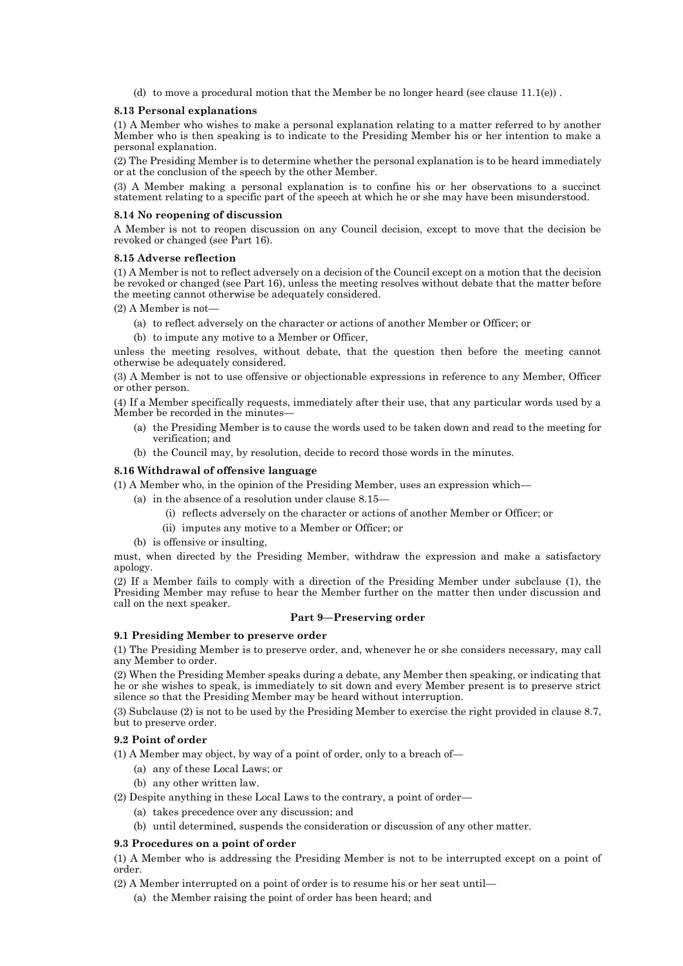(d) to move a procedural motion that the Member be no longer heard (see clause  $11.1(e)$ ).

#### **8.13 Personal explanations**

(1) A Member who wishes to make a personal explanation relating to a matter referred to by another Member who is then speaking is to indicate to the Presiding Member his or her intention to make a personal explanation.

(2) The Presiding Member is to determine whether the personal explanation is to be heard immediately or at the conclusion of the speech by the other Member.

(3) A Member making a personal explanation is to confine his or her observations to a succinct statement relating to a specific part of the speech at which he or she may have been misunderstood.

#### **8.14 No reopening of discussion**

A Member is not to reopen discussion on any Council decision, except to move that the decision be revoked or changed (see Part 16).

#### **8.15 Adverse reflection**

(1) A Member is not to reflect adversely on a decision of the Council except on a motion that the decision be revoked or changed (see Part 16), unless the meeting resolves without debate that the matter before the meeting cannot otherwise be adequately considered.

(2) A Member is not—

- (a) to reflect adversely on the character or actions of another Member or Officer; or
- (b) to impute any motive to a Member or Officer,

unless the meeting resolves, without debate, that the question then before the meeting cannot otherwise be adequately considered.

(3) A Member is not to use offensive or objectionable expressions in reference to any Member, Officer or other person.

(4) If a Member specifically requests, immediately after their use, that any particular words used by a Member be recorded in the minutes—

- (a) the Presiding Member is to cause the words used to be taken down and read to the meeting for verification; and
- (b) the Council may, by resolution, decide to record those words in the minutes.

#### **8.16 Withdrawal of offensive language**

(1) A Member who, in the opinion of the Presiding Member, uses an expression which—

- (a) in the absence of a resolution under clause 8.15—
	- (i) reflects adversely on the character or actions of another Member or Officer; or
	- (ii) imputes any motive to a Member or Officer; or
- (b) is offensive or insulting,

must, when directed by the Presiding Member, withdraw the expression and make a satisfactory apology.

(2) If a Member fails to comply with a direction of the Presiding Member under subclause (1), the Presiding Member may refuse to hear the Member further on the matter then under discussion and call on the next speaker.

#### **Part 9—Preserving order**

#### **9.1 Presiding Member to preserve order**

(1) The Presiding Member is to preserve order, and, whenever he or she considers necessary, may call any Member to order.

(2) When the Presiding Member speaks during a debate, any Member then speaking, or indicating that he or she wishes to speak, is immediately to sit down and every Member present is to preserve strict silence so that the Presiding Member may be heard without interruption.

(3) Subclause (2) is not to be used by the Presiding Member to exercise the right provided in clause 8.7, but to preserve order.

## **9.2 Point of order**

(1) A Member may object, by way of a point of order, only to a breach of—

- (a) any of these Local Laws; or
- (b) any other written law.
- (2) Despite anything in these Local Laws to the contrary, a point of order—
	- (a) takes precedence over any discussion; and
	- (b) until determined, suspends the consideration or discussion of any other matter.

## **9.3 Procedures on a point of order**

(1) A Member who is addressing the Presiding Member is not to be interrupted except on a point of order.

(2) A Member interrupted on a point of order is to resume his or her seat until—

(a) the Member raising the point of order has been heard; and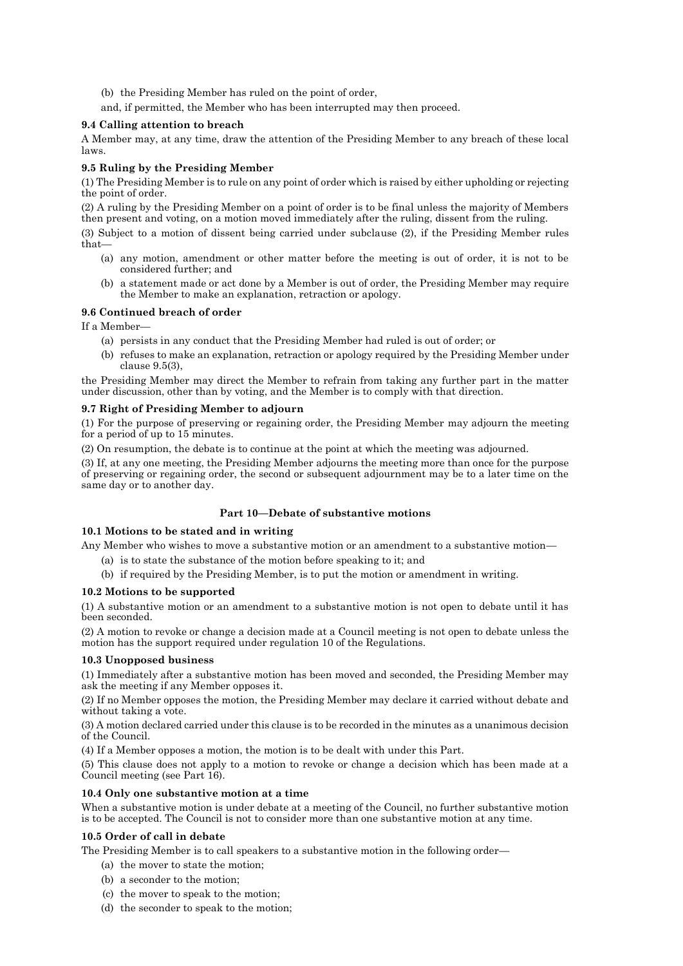- (b) the Presiding Member has ruled on the point of order,
- and, if permitted, the Member who has been interrupted may then proceed.

# **9.4 Calling attention to breach**

A Member may, at any time, draw the attention of the Presiding Member to any breach of these local laws.

# **9.5 Ruling by the Presiding Member**

(1) The Presiding Member is to rule on any point of order which is raised by either upholding or rejecting the point of order.

(2) A ruling by the Presiding Member on a point of order is to be final unless the majority of Members then present and voting, on a motion moved immediately after the ruling, dissent from the ruling.

(3) Subject to a motion of dissent being carried under subclause (2), if the Presiding Member rules that—

- (a) any motion, amendment or other matter before the meeting is out of order, it is not to be considered further; and
- (b) a statement made or act done by a Member is out of order, the Presiding Member may require the Member to make an explanation, retraction or apology.

## **9.6 Continued breach of order**

If a Member—

- (a) persists in any conduct that the Presiding Member had ruled is out of order; or
- (b) refuses to make an explanation, retraction or apology required by the Presiding Member under clause 9.5(3),

the Presiding Member may direct the Member to refrain from taking any further part in the matter under discussion, other than by voting, and the Member is to comply with that direction.

# **9.7 Right of Presiding Member to adjourn**

(1) For the purpose of preserving or regaining order, the Presiding Member may adjourn the meeting for a period of up to 15 minutes.

(2) On resumption, the debate is to continue at the point at which the meeting was adjourned.

(3) If, at any one meeting, the Presiding Member adjourns the meeting more than once for the purpose of preserving or regaining order, the second or subsequent adjournment may be to a later time on the same day or to another day.

# **Part 10—Debate of substantive motions**

## **10.1 Motions to be stated and in writing**

Any Member who wishes to move a substantive motion or an amendment to a substantive motion—

- (a) is to state the substance of the motion before speaking to it; and
- (b) if required by the Presiding Member, is to put the motion or amendment in writing.

## **10.2 Motions to be supported**

(1) A substantive motion or an amendment to a substantive motion is not open to debate until it has been seconded.

(2) A motion to revoke or change a decision made at a Council meeting is not open to debate unless the motion has the support required under regulation 10 of the Regulations.

# **10.3 Unopposed business**

(1) Immediately after a substantive motion has been moved and seconded, the Presiding Member may ask the meeting if any Member opposes it.

(2) If no Member opposes the motion, the Presiding Member may declare it carried without debate and without taking a vote.

(3) A motion declared carried under this clause is to be recorded in the minutes as a unanimous decision of the Council.

(4) If a Member opposes a motion, the motion is to be dealt with under this Part.

(5) This clause does not apply to a motion to revoke or change a decision which has been made at a Council meeting (see Part 16).

## **10.4 Only one substantive motion at a time**

When a substantive motion is under debate at a meeting of the Council, no further substantive motion is to be accepted. The Council is not to consider more than one substantive motion at any time.

## **10.5 Order of call in debate**

The Presiding Member is to call speakers to a substantive motion in the following order—

- (a) the mover to state the motion;
- (b) a seconder to the motion;
- (c) the mover to speak to the motion;
- (d) the seconder to speak to the motion;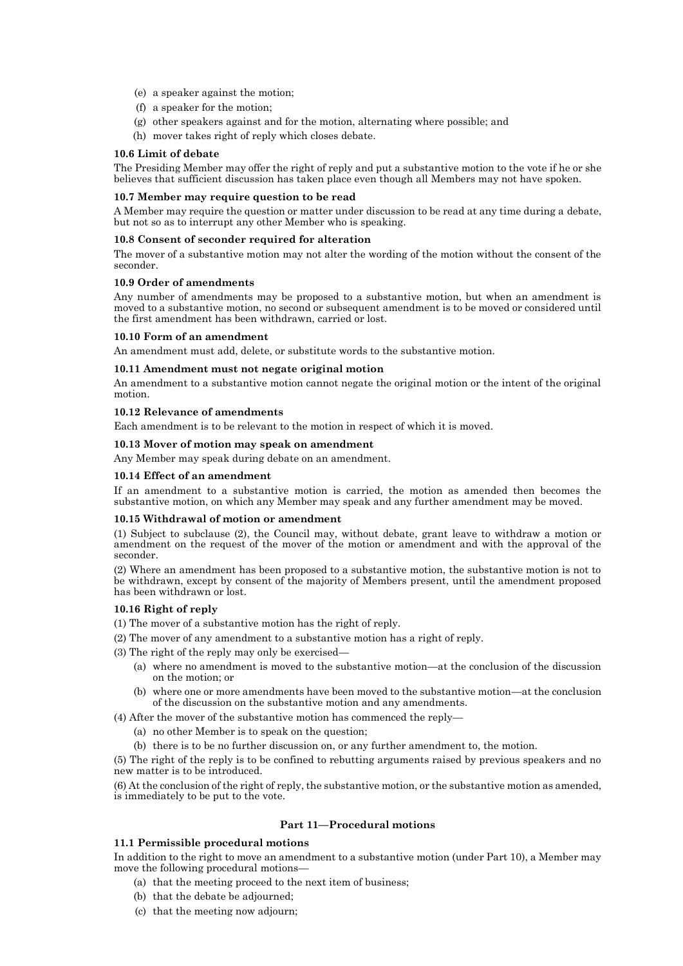- (e) a speaker against the motion;
- (f) a speaker for the motion;
- (g) other speakers against and for the motion, alternating where possible; and
- (h) mover takes right of reply which closes debate.

#### **10.6 Limit of debate**

The Presiding Member may offer the right of reply and put a substantive motion to the vote if he or she believes that sufficient discussion has taken place even though all Members may not have spoken.

## **10.7 Member may require question to be read**

A Member may require the question or matter under discussion to be read at any time during a debate, but not so as to interrupt any other Member who is speaking.

#### **10.8 Consent of seconder required for alteration**

The mover of a substantive motion may not alter the wording of the motion without the consent of the seconder.

#### **10.9 Order of amendments**

Any number of amendments may be proposed to a substantive motion, but when an amendment is moved to a substantive motion, no second or subsequent amendment is to be moved or considered until the first amendment has been withdrawn, carried or lost.

#### **10.10 Form of an amendment**

An amendment must add, delete, or substitute words to the substantive motion.

#### **10.11 Amendment must not negate original motion**

An amendment to a substantive motion cannot negate the original motion or the intent of the original motion.

#### **10.12 Relevance of amendments**

Each amendment is to be relevant to the motion in respect of which it is moved.

## **10.13 Mover of motion may speak on amendment**

Any Member may speak during debate on an amendment.

#### **10.14 Effect of an amendment**

If an amendment to a substantive motion is carried, the motion as amended then becomes the substantive motion, on which any Member may speak and any further amendment may be moved.

#### **10.15 Withdrawal of motion or amendment**

(1) Subject to subclause (2), the Council may, without debate, grant leave to withdraw a motion or amendment on the request of the mover of the motion or amendment and with the approval of the seconder.

(2) Where an amendment has been proposed to a substantive motion, the substantive motion is not to be withdrawn, except by consent of the majority of Members present, until the amendment proposed has been withdrawn or lost.

# **10.16 Right of reply**

- (1) The mover of a substantive motion has the right of reply.
- (2) The mover of any amendment to a substantive motion has a right of reply.
- (3) The right of the reply may only be exercised—
	- (a) where no amendment is moved to the substantive motion—at the conclusion of the discussion on the motion; or
	- (b) where one or more amendments have been moved to the substantive motion—at the conclusion of the discussion on the substantive motion and any amendments.
- (4) After the mover of the substantive motion has commenced the reply—
	- (a) no other Member is to speak on the question;
	- (b) there is to be no further discussion on, or any further amendment to, the motion.

(5) The right of the reply is to be confined to rebutting arguments raised by previous speakers and no new matter is to be introduced.

(6) At the conclusion of the right of reply, the substantive motion, or the substantive motion as amended, is immediately to be put to the vote.

## **Part 11—Procedural motions**

#### **11.1 Permissible procedural motions**

In addition to the right to move an amendment to a substantive motion (under Part 10), a Member may move the following procedural motions—

- (a) that the meeting proceed to the next item of business;
- (b) that the debate be adjourned;
- (c) that the meeting now adjourn;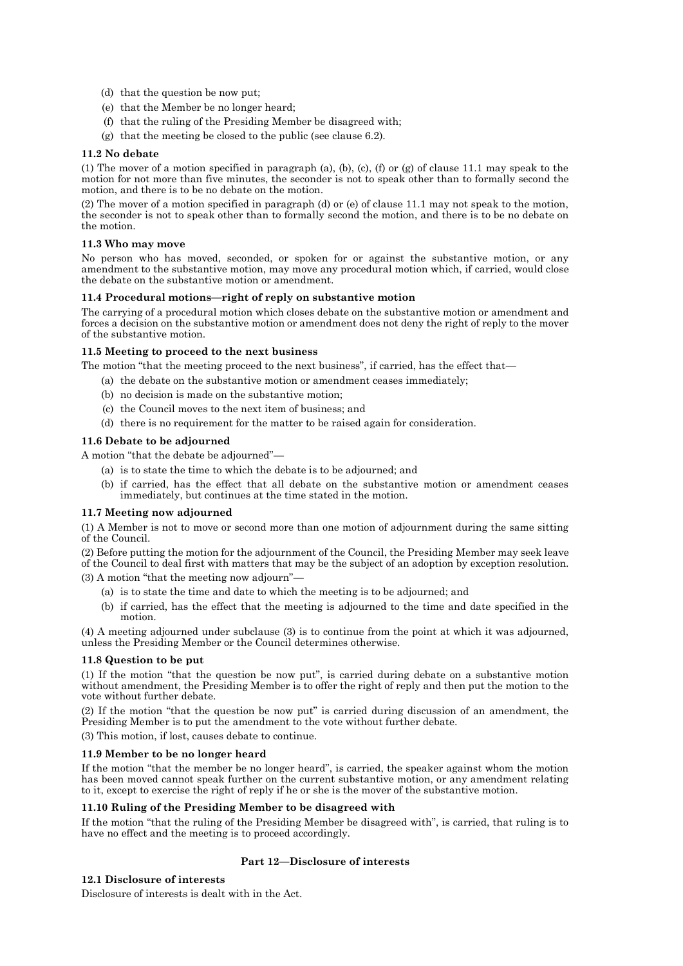- (d) that the question be now put;
- (e) that the Member be no longer heard;
- (f) that the ruling of the Presiding Member be disagreed with;
- (g) that the meeting be closed to the public (see clause 6.2).

#### **11.2 No debate**

(1) The mover of a motion specified in paragraph (a), (b), (c), (f) or (g) of clause 11.1 may speak to the motion for not more than five minutes, the seconder is not to speak other than to formally second the motion, and there is to be no debate on the motion.

(2) The mover of a motion specified in paragraph (d) or (e) of clause 11.1 may not speak to the motion, the seconder is not to speak other than to formally second the motion, and there is to be no debate on the motion.

#### **11.3 Who may move**

No person who has moved, seconded, or spoken for or against the substantive motion, or any amendment to the substantive motion, may move any procedural motion which, if carried, would close the debate on the substantive motion or amendment.

## **11.4 Procedural motions—right of reply on substantive motion**

The carrying of a procedural motion which closes debate on the substantive motion or amendment and forces a decision on the substantive motion or amendment does not deny the right of reply to the mover of the substantive motion.

## **11.5 Meeting to proceed to the next business**

The motion "that the meeting proceed to the next business", if carried, has the effect that—

- (a) the debate on the substantive motion or amendment ceases immediately;
	- (b) no decision is made on the substantive motion;
	- (c) the Council moves to the next item of business; and
- (d) there is no requirement for the matter to be raised again for consideration.

## **11.6 Debate to be adjourned**

A motion "that the debate be adjourned"—

- (a) is to state the time to which the debate is to be adjourned; and
- (b) if carried, has the effect that all debate on the substantive motion or amendment ceases immediately, but continues at the time stated in the motion.

## **11.7 Meeting now adjourned**

(1) A Member is not to move or second more than one motion of adjournment during the same sitting of the Council.

(2) Before putting the motion for the adjournment of the Council, the Presiding Member may seek leave of the Council to deal first with matters that may be the subject of an adoption by exception resolution.

(3) A motion "that the meeting now adjourn"—

- (a) is to state the time and date to which the meeting is to be adjourned; and
- (b) if carried, has the effect that the meeting is adjourned to the time and date specified in the motion.

(4) A meeting adjourned under subclause (3) is to continue from the point at which it was adjourned, unless the Presiding Member or the Council determines otherwise.

## **11.8 Question to be put**

(1) If the motion "that the question be now put", is carried during debate on a substantive motion without amendment, the Presiding Member is to offer the right of reply and then put the motion to the vote without further debate.

(2) If the motion "that the question be now put" is carried during discussion of an amendment, the Presiding Member is to put the amendment to the vote without further debate.

(3) This motion, if lost, causes debate to continue.

## **11.9 Member to be no longer heard**

If the motion "that the member be no longer heard", is carried, the speaker against whom the motion has been moved cannot speak further on the current substantive motion, or any amendment relating to it, except to exercise the right of reply if he or she is the mover of the substantive motion.

## **11.10 Ruling of the Presiding Member to be disagreed with**

If the motion "that the ruling of the Presiding Member be disagreed with", is carried, that ruling is to have no effect and the meeting is to proceed accordingly.

## **Part 12—Disclosure of interests**

## **12.1 Disclosure of interests**

Disclosure of interests is dealt with in the Act.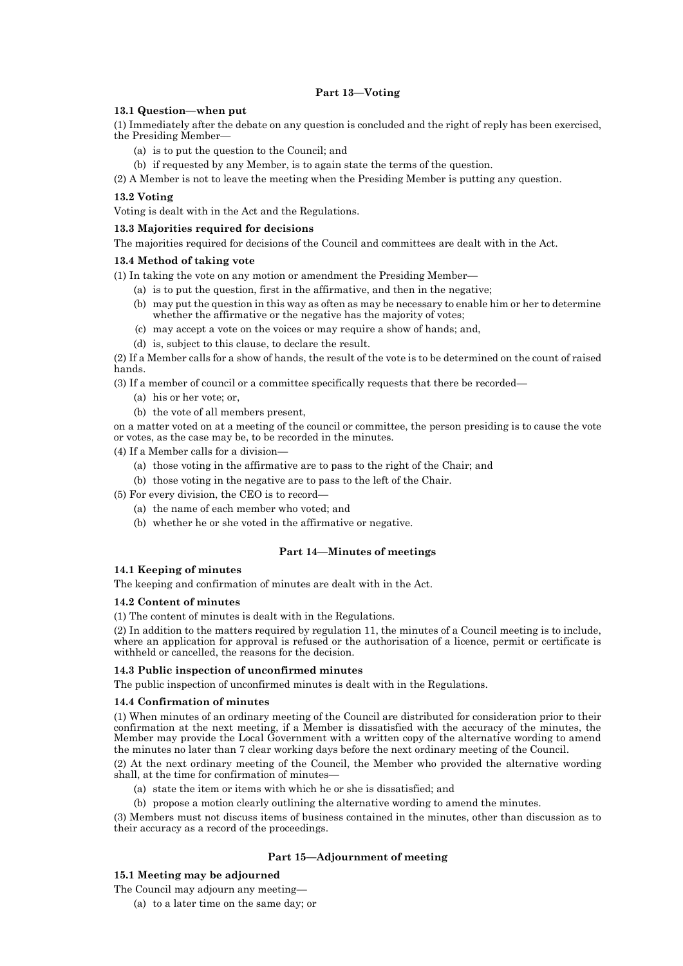## **Part 13—Voting**

#### **13.1 Question—when put**

(1) Immediately after the debate on any question is concluded and the right of reply has been exercised, the Presiding Member—

- (a) is to put the question to the Council; and
- (b) if requested by any Member, is to again state the terms of the question.

(2) A Member is not to leave the meeting when the Presiding Member is putting any question.

#### **13.2 Voting**

Voting is dealt with in the Act and the Regulations.

#### **13.3 Majorities required for decisions**

The majorities required for decisions of the Council and committees are dealt with in the Act.

#### **13.4 Method of taking vote**

- (1) In taking the vote on any motion or amendment the Presiding Member—
	- (a) is to put the question, first in the affirmative, and then in the negative;
	- (b) may put the question in this way as often as may be necessary to enable him or her to determine whether the affirmative or the negative has the majority of votes;
	- (c) may accept a vote on the voices or may require a show of hands; and,
	- (d) is, subject to this clause, to declare the result.

(2) If a Member calls for a show of hands, the result of the vote is to be determined on the count of raised hands.

- (3) If a member of council or a committee specifically requests that there be recorded—
	- (a) his or her vote; or,
	- (b) the vote of all members present,

on a matter voted on at a meeting of the council or committee, the person presiding is to cause the vote or votes, as the case may be, to be recorded in the minutes.

(4) If a Member calls for a division—

- (a) those voting in the affirmative are to pass to the right of the Chair; and
- (b) those voting in the negative are to pass to the left of the Chair.
- (5) For every division, the CEO is to record—
	- (a) the name of each member who voted; and
	- (b) whether he or she voted in the affirmative or negative.

#### **Part 14—Minutes of meetings**

# **14.1 Keeping of minutes**

The keeping and confirmation of minutes are dealt with in the Act.

#### **14.2 Content of minutes**

(1) The content of minutes is dealt with in the Regulations.

(2) In addition to the matters required by regulation 11, the minutes of a Council meeting is to include, where an application for approval is refused or the authorisation of a licence, permit or certificate is withheld or cancelled, the reasons for the decision.

## **14.3 Public inspection of unconfirmed minutes**

The public inspection of unconfirmed minutes is dealt with in the Regulations.

## **14.4 Confirmation of minutes**

(1) When minutes of an ordinary meeting of the Council are distributed for consideration prior to their confirmation at the next meeting, if a Member is dissatisfied with the accuracy of the minutes, the Member may provide the Local Government with a written copy of the alternative wording to amend the minutes no later than 7 clear working days before the next ordinary meeting of the Council.

(2) At the next ordinary meeting of the Council, the Member who provided the alternative wording shall, at the time for confirmation of minutes—

- (a) state the item or items with which he or she is dissatisfied; and
- (b) propose a motion clearly outlining the alternative wording to amend the minutes.

(3) Members must not discuss items of business contained in the minutes, other than discussion as to their accuracy as a record of the proceedings.

#### **Part 15—Adjournment of meeting**

## **15.1 Meeting may be adjourned**

The Council may adjourn any meeting—

(a) to a later time on the same day; or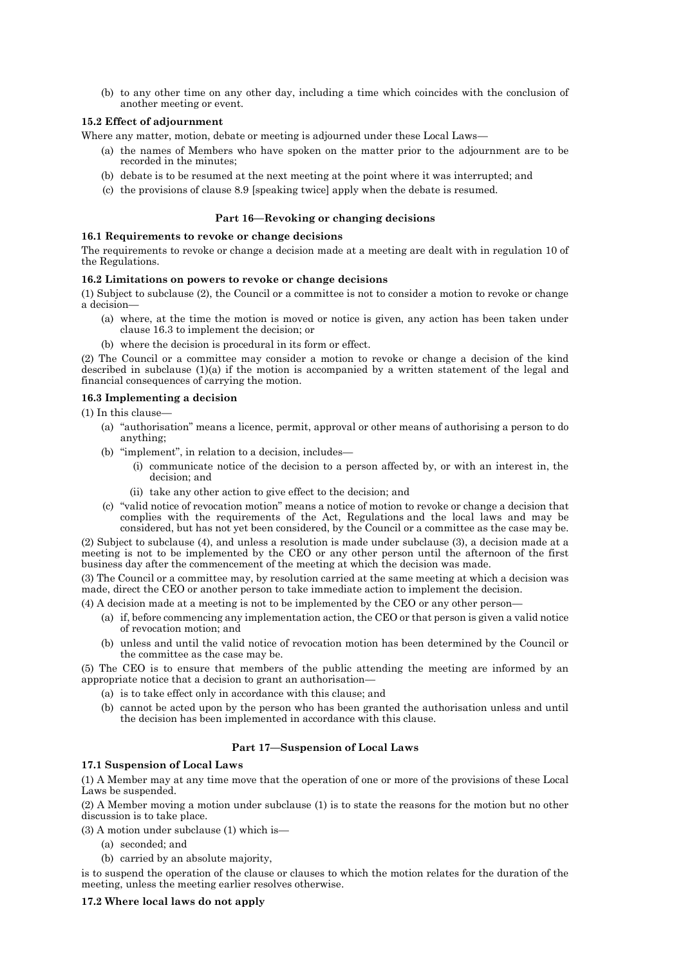(b) to any other time on any other day, including a time which coincides with the conclusion of another meeting or event.

# **15.2 Effect of adjournment**

Where any matter, motion, debate or meeting is adjourned under these Local Laws—

- (a) the names of Members who have spoken on the matter prior to the adjournment are to be recorded in the minutes;
- (b) debate is to be resumed at the next meeting at the point where it was interrupted; and
- (c) the provisions of clause 8.9 [speaking twice] apply when the debate is resumed.

#### **Part 16—Revoking or changing decisions**

#### **16.1 Requirements to revoke or change decisions**

The requirements to revoke or change a decision made at a meeting are dealt with in regulation 10 of the Regulations.

#### **16.2 Limitations on powers to revoke or change decisions**

(1) Subject to subclause (2), the Council or a committee is not to consider a motion to revoke or change a decision—

- (a) where, at the time the motion is moved or notice is given, any action has been taken under clause 16.3 to implement the decision; or
- (b) where the decision is procedural in its form or effect.

(2) The Council or a committee may consider a motion to revoke or change a decision of the kind described in subclause (1)(a) if the motion is accompanied by a written statement of the legal and financial consequences of carrying the motion.

#### **16.3 Implementing a decision**

(1) In this clause—

- (a) "authorisation" means a licence, permit, approval or other means of authorising a person to do anything;
- (b) "implement", in relation to a decision, includes—
	- (i) communicate notice of the decision to a person affected by, or with an interest in, the decision; and
	- (ii) take any other action to give effect to the decision; and
- (c) "valid notice of revocation motion" means a notice of motion to revoke or change a decision that complies with the requirements of the Act, Regulations and the local laws and may be considered, but has not yet been considered, by the Council or a committee as the case may be.

(2) Subject to subclause (4), and unless a resolution is made under subclause (3), a decision made at a meeting is not to be implemented by the CEO or any other person until the afternoon of the first business day after the commencement of the meeting at which the decision was made.

(3) The Council or a committee may, by resolution carried at the same meeting at which a decision was made, direct the CEO or another person to take immediate action to implement the decision.

(4) A decision made at a meeting is not to be implemented by the CEO or any other person—

- (a) if, before commencing any implementation action, the CEO or that person is given a valid notice of revocation motion; and
- (b) unless and until the valid notice of revocation motion has been determined by the Council or the committee as the case may be.

(5) The CEO is to ensure that members of the public attending the meeting are informed by an appropriate notice that a decision to grant an authorisation—

- (a) is to take effect only in accordance with this clause; and
- (b) cannot be acted upon by the person who has been granted the authorisation unless and until the decision has been implemented in accordance with this clause.

## **Part 17—Suspension of Local Laws**

## **17.1 Suspension of Local Laws**

(1) A Member may at any time move that the operation of one or more of the provisions of these Local Laws be suspended.

(2) A Member moving a motion under subclause (1) is to state the reasons for the motion but no other discussion is to take place.

(3) A motion under subclause (1) which is—

- (a) seconded; and
- (b) carried by an absolute majority,

is to suspend the operation of the clause or clauses to which the motion relates for the duration of the meeting, unless the meeting earlier resolves otherwise.

## **17.2 Where local laws do not apply**